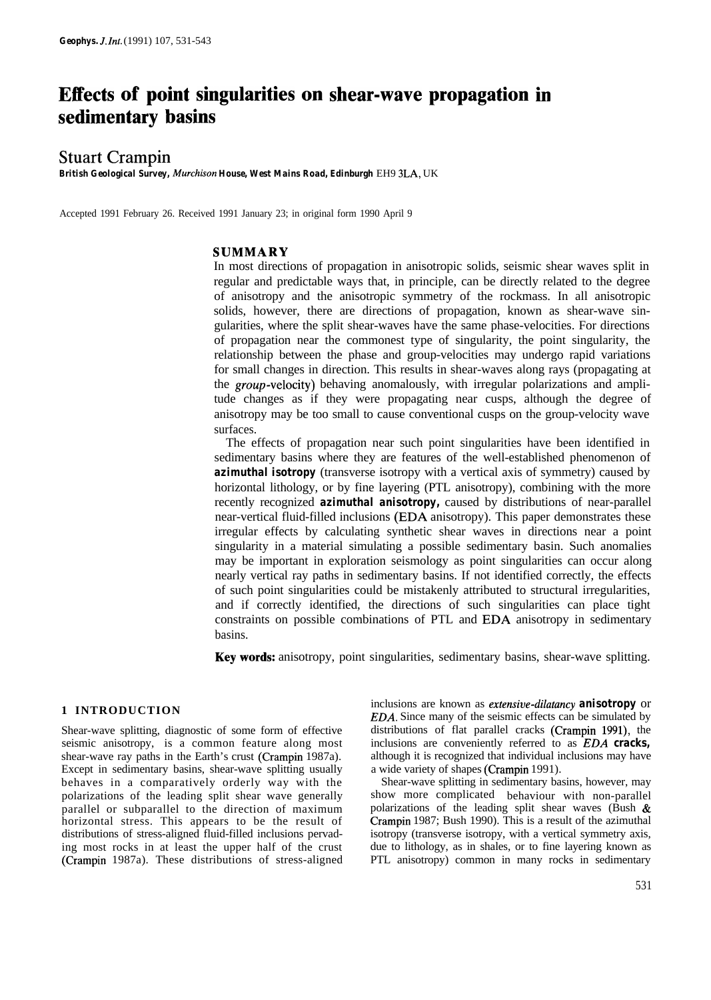# **Effects of point singularities on shear-wave propagation in sedimentary basins**

# Stuart Crampin

*British Geological Survey, Murchkon House, West Mains Road, Edinburgh* EH9 3LA, UK

Accepted 1991 February 26. Received 1991 January 23; in original form 1990 April 9

# **SUMMARY**

In most directions of propagation in anisotropic solids, seismic shear waves split in regular and predictable ways that, in principle, can be directly related to the degree of anisotropy and the anisotropic symmetry of the rockmass. In all anisotropic solids, however, there are directions of propagation, known as shear-wave singularities, where the split shear-waves have the same phase-velocities. For directions of propagation near the commonest type of singularity, the point singularity, the relationship between the phase and group-velocities may undergo rapid variations for small changes in direction. This results in shear-waves along rays (propagating at the group-velocity) behaving anomalously, with irregular polarizations and amplitude changes as if they were propagating near cusps, although the degree of anisotropy may be too small to cause conventional cusps on the group-velocity wave surfaces.

The effects of propagation near such point singularities have been identified in sedimentary basins where they are features of the well-established phenomenon of *azimuthal isotropy* (transverse isotropy with a vertical axis of symmetry) caused by horizontal lithology, or by fine layering (PTL anisotropy), combining with the more recently recognized *azimuthal anisotropy,* caused by distributions of near-parallel near-vertical fluid-filled inclusions (EDA anisotropy). This paper demonstrates these irregular effects by calculating synthetic shear waves in directions near a point singularity in a material simulating a possible sedimentary basin. Such anomalies may be important in exploration seismology as point singularities can occur along nearly vertical ray paths in sedimentary basins. If not identified correctly, the effects of such point singularities could be mistakenly attributed to structural irregularities, and if correctly identified, the directions of such singularities can place tight constraints on possible combinations of PTL and EDA anisotropy in sedimentary basins.

**Key words:** anisotropy, point singularities, sedimentary basins, shear-wave splitting.

### **1 INTRODUCTION**

Shear-wave splitting, diagnostic of some form of effective seismic anisotropy, is a common feature along most shear-wave ray paths in the Earth's crust (Crampin 1987a). Except in sedimentary basins, shear-wave splitting usually behaves in a comparatively orderly way with the polarizations of the leading split shear wave generally parallel or subparallel to the direction of maximum horizontal stress. This appears to be the result of distributions of stress-aligned fluid-filled inclusions pervading most rocks in at least the upper half of the crust (Crampin 1987a). These distributions of stress-aligned inclusions are known as *extensive-dilatancy anisotropy* or *EDA.* Since many of the seismic effects can be simulated by distributions of flat parallel cracks (Crampin 1991), the inclusions are conveniently referred to as *EDA cracks,* although it is recognized that individual inclusions may have a wide variety of shapes (Crampin 1991).

Shear-wave splitting in sedimentary basins, however, may show more complicated behaviour with non-parallel polarizations of the leading split shear waves (Bush  $\&$ Crampin 1987; Bush 1990). This is a result of the azimuthal isotropy (transverse isotropy, with a vertical symmetry axis, due to lithology, as in shales, or to fine layering known as PTL anisotropy) common in many rocks in sedimentary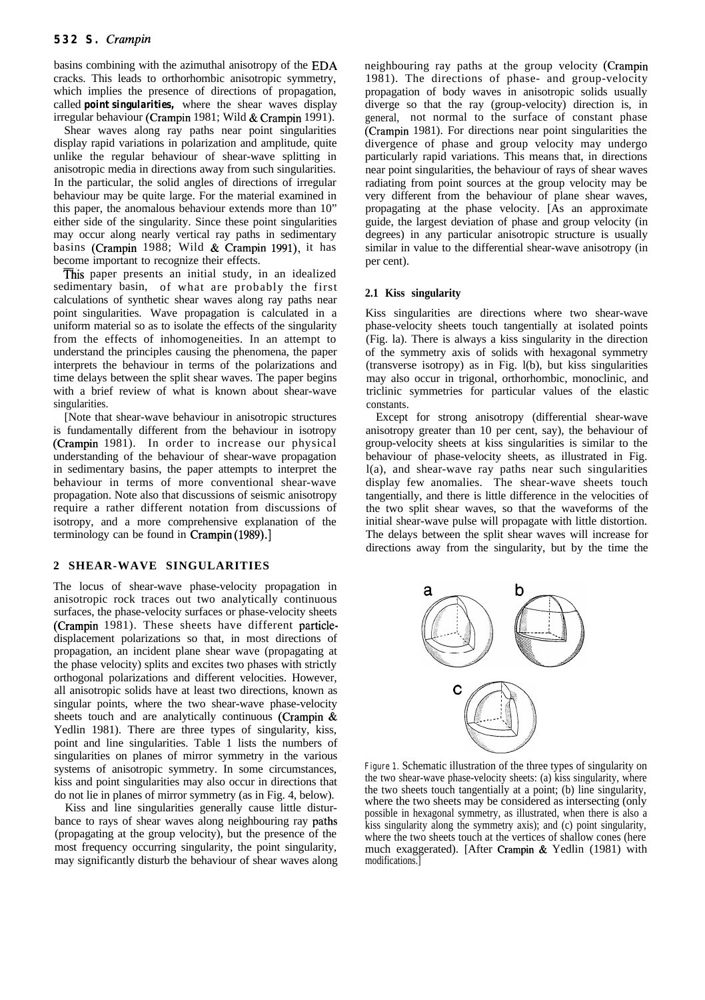basins combining with the azimuthal anisotropy of the EDA cracks. This leads to orthorhombic anisotropic symmetry, which implies the presence of directions of propagation, called *point singularities,* where the shear waves display irregular behaviour (Crampin 1981; Wild & Crampin 1991).

Shear waves along ray paths near point singularities display rapid variations in polarization and amplitude, quite unlike the regular behaviour of shear-wave splitting in anisotropic media in directions away from such singularities. In the particular, the solid angles of directions of irregular behaviour may be quite large. For the material examined in this paper, the anomalous behaviour extends more than 10" either side of the singularity. Since these point singularities may occur along nearly vertical ray paths in sedimentary basins (Crampin 1988; Wild & Crampin 1991), it has become important to recognize their effects.

This paper presents an initial study, in an idealized sedimentary basin, of what are probably the first calculations of synthetic shear waves along ray paths near point singularities. Wave propagation is calculated in a uniform material so as to isolate the effects of the singularity from the effects of inhomogeneities. In an attempt to understand the principles causing the phenomena, the paper interprets the behaviour in terms of the polarizations and time delays between the split shear waves. The paper begins with a brief review of what is known about shear-wave singularities.

[Note that shear-wave behaviour in anisotropic structures is fundamentally different from the behaviour in isotropy (Crampin 1981). In order to increase our physical understanding of the behaviour of shear-wave propagation in sedimentary basins, the paper attempts to interpret the behaviour in terms of more conventional shear-wave propagation. Note also that discussions of seismic anisotropy require a rather different notation from discussions of isotropy, and a more comprehensive explanation of the terminology can be found in Crampin (1989).]

#### **2 SHEAR-WAVE SINGULARITIES**

The locus of shear-wave phase-velocity propagation in anisotropic rock traces out two analytically continuous surfaces, the phase-velocity surfaces or phase-velocity sheets (Crampin 1981). These sheets have different particledisplacement polarizations so that, in most directions of propagation, an incident plane shear wave (propagating at the phase velocity) splits and excites two phases with strictly orthogonal polarizations and different velocities. However, all anisotropic solids have at least two directions, known as singular points, where the two shear-wave phase-velocity sheets touch and are analytically continuous (Crampin & Yedlin 1981). There are three types of singularity, kiss, point and line singularities. Table 1 lists the numbers of singularities on planes of mirror symmetry in the various systems of anisotropic symmetry. In some circumstances, kiss and point singularities may also occur in directions that do not lie in planes of mirror symmetry (as in Fig. 4, below).

Kiss and line singularities generally cause little disturbance to rays of shear waves along neighbouring ray paths (propagating at the group velocity), but the presence of the most frequency occurring singularity, the point singularity, may significantly disturb the behaviour of shear waves along neighbouring ray paths at the group velocity (Crampin 1981). The directions of phase- and group-velocity propagation of body waves in anisotropic solids usually diverge so that the ray (group-velocity) direction is, in general, not normal to the surface of constant phase (Crampin 1981). For directions near point singularities the divergence of phase and group velocity may undergo particularly rapid variations. This means that, in directions near point singularities, the behaviour of rays of shear waves radiating from point sources at the group velocity may be very different from the behaviour of plane shear waves, propagating at the phase velocity. [As an approximate guide, the largest deviation of phase and group velocity (in degrees) in any particular anisotropic structure is usually similar in value to the differential shear-wave anisotropy (in per cent).

#### **2.1 Kiss singularity**

Kiss singularities are directions where two shear-wave phase-velocity sheets touch tangentially at isolated points (Fig. la). There is always a kiss singularity in the direction of the symmetry axis of solids with hexagonal symmetry (transverse isotropy) as in Fig. l(b), but kiss singularities may also occur in trigonal, orthorhombic, monoclinic, and triclinic symmetries for particular values of the elastic constants.

Except for strong anisotropy (differential shear-wave anisotropy greater than 10 per cent, say), the behaviour of group-velocity sheets at kiss singularities is similar to the behaviour of phase-velocity sheets, as illustrated in Fig. l(a), and shear-wave ray paths near such singularities display few anomalies. The shear-wave sheets touch tangentially, and there is little difference in the velocities of the two split shear waves, so that the waveforms of the initial shear-wave pulse will propagate with little distortion. The delays between the split shear waves will increase for directions away from the singularity, but by the time the



**Figure 1.** Schematic illustration of the three types of singularity on the two shear-wave phase-velocity sheets: (a) kiss singularity, where the two sheets touch tangentially at a point; (b) line singularity, where the two sheets may be considered as intersecting (only possible in hexagonal symmetry, as illustrated, when there is also a kiss singularity along the symmetry axis); and (c) point singularity, where the two sheets touch at the vertices of shallow cones (here much exaggerated). [After Crampin & Yedlin (1981) with modifications.]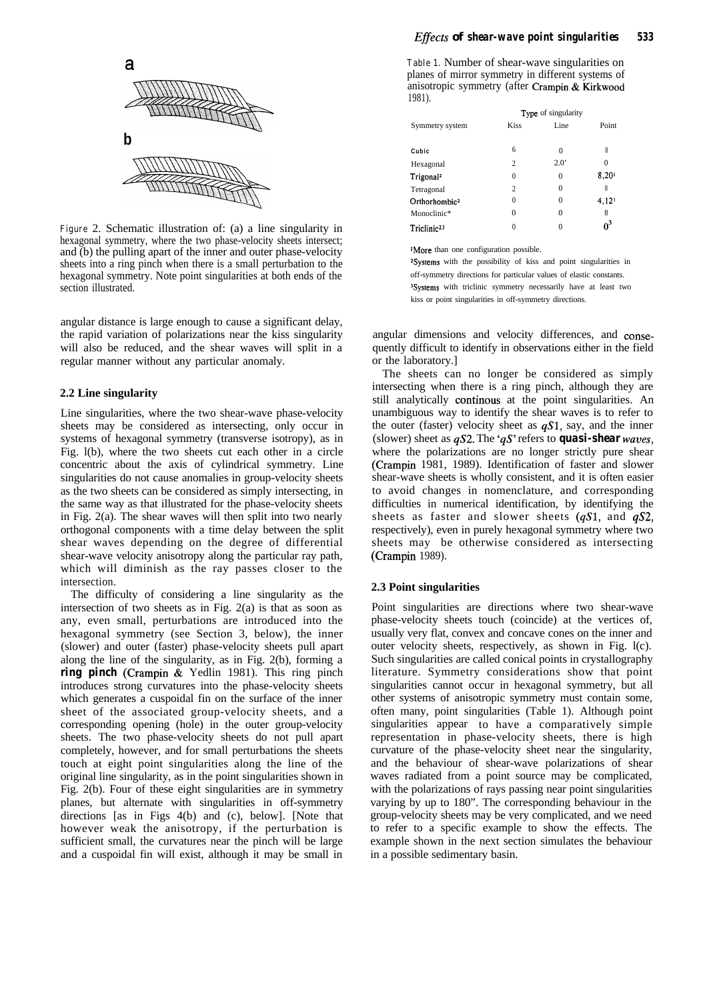

**Figure** 2. Schematic illustration of: (a) a line singularity in hexagonal symmetry, where the two phase-velocity sheets intersect; and (b) the pulling apart of the inner and outer phase-velocity sheets into a ring pinch when there is a small perturbation to the hexagonal symmetry. Note point singularities at both ends of the section illustrated.

angular distance is large enough to cause a significant delay, the rapid variation of polarizations near the kiss singularity will also be reduced, and the shear waves will split in a regular manner without any particular anomaly.

#### **2.2 Line singularity**

Line singularities, where the two shear-wave phase-velocity sheets may be considered as intersecting, only occur in systems of hexagonal symmetry (transverse isotropy), as in Fig. l(b), where the two sheets cut each other in a circle concentric about the axis of cylindrical symmetry. Line singularities do not cause anomalies in group-velocity sheets as the two sheets can be considered as simply intersecting, in the same way as that illustrated for the phase-velocity sheets in Fig. 2(a). The shear waves will then split into two nearly orthogonal components with a time delay between the split shear waves depending on the degree of differential shear-wave velocity anisotropy along the particular ray path, which will diminish as the ray passes closer to the intersection.

The difficulty of considering a line singularity as the intersection of two sheets as in Fig. 2(a) is that as soon as any, even small, perturbations are introduced into the hexagonal symmetry (see Section 3, below), the inner (slower) and outer (faster) phase-velocity sheets pull apart along the line of the singularity, as in Fig. 2(b), forming a *ring pinch* (Crampin & Yedlin 1981). This ring pinch introduces strong curvatures into the phase-velocity sheets which generates a cuspoidal fin on the surface of the inner sheet of the associated group-velocity sheets, and a corresponding opening (hole) in the outer group-velocity sheets. The two phase-velocity sheets do not pull apart completely, however, and for small perturbations the sheets touch at eight point singularities along the line of the original line singularity, as in the point singularities shown in Fig. 2(b). Four of these eight singularities are in symmetry planes, but alternate with singularities in off-symmetry directions [as in Figs 4(b) and (c), below]. [Note that however weak the anisotropy, if the perturbation is sufficient small, the curvatures near the pinch will be large and a cuspoidal fin will exist, although it may be small in

**Table 1.** Number of shear-wave singularities on planes of mirror symmetry in different systems of anisotropic symmetry (after Crampin & Kirkwood 1981).

|                           |                | Type of singularity |                     |
|---------------------------|----------------|---------------------|---------------------|
| Symmetry system           | <b>Kiss</b>    | Line                | Point               |
|                           |                |                     |                     |
| Cubic                     | 6              | 0                   | 8                   |
| Hexagonal                 | $\overline{c}$ | $2.0^{\circ}$       | 0                   |
| Trigonal <sup>2</sup>     | $\theta$       | 0                   | 8.201               |
| Tetragonal                | $\overline{c}$ | 0                   | 8                   |
| Orthorhombic <sup>2</sup> | 0              | 0                   | $4,12$ <sup>1</sup> |
| Monoclinic*               | 0              | $\Omega$            | 8                   |
| Triclinic <sup>23</sup>   | 0              |                     | റ്                  |

'More than one configuration possible.

\*Systems with the possibility of kiss and point singularities in off-symmetry directions for particular values of elastic constants. <sup>3</sup>Systems with triclinic symmetry necessarily have at least two kiss or point singularities in off-symmetry directions.

angular dimensions and velocity differences, and consequently difficult to identify in observations either in the field or the laboratory.]

The sheets can no longer be considered as simply intersecting when there is a ring pinch, although they are still analytically continous at the point singularities. An unambiguous way to identify the shear waves is to refer to the outer (faster) velocity sheet as  $qS1$ , say, and the inner (slower) sheet as  $qS2$ . The ' $qS'$  refers to **quasi-shear** waves, where the polarizations are no longer strictly pure shear (Crampin 1981, 1989). Identification of faster and slower shear-wave sheets is wholly consistent, and it is often easier to avoid changes in nomenclature, and corresponding difficulties in numerical identification, by identifying the sheets as faster and slower sheets  $(qS1,$  and  $qS2,$ respectively), even in purely hexagonal symmetry where two sheets may be otherwise considered as intersecting (Crampin 1989).

#### **2.3 Point singularities**

Point singularities are directions where two shear-wave phase-velocity sheets touch (coincide) at the vertices of, usually very flat, convex and concave cones on the inner and outer velocity sheets, respectively, as shown in Fig. l(c). Such singularities are called conical points in crystallography literature. Symmetry considerations show that point singularities cannot occur in hexagonal symmetry, but all other systems of anisotropic symmetry must contain some, often many, point singularities (Table 1). Although point singularities appear to have a comparatively simple representation in phase-velocity sheets, there is high curvature of the phase-velocity sheet near the singularity, and the behaviour of shear-wave polarizations of shear waves radiated from a point source may be complicated, with the polarizations of rays passing near point singularities varying by up to 180". The corresponding behaviour in the group-velocity sheets may be very complicated, and we need to refer to a specific example to show the effects. The example shown in the next section simulates the behaviour in a possible sedimentary basin.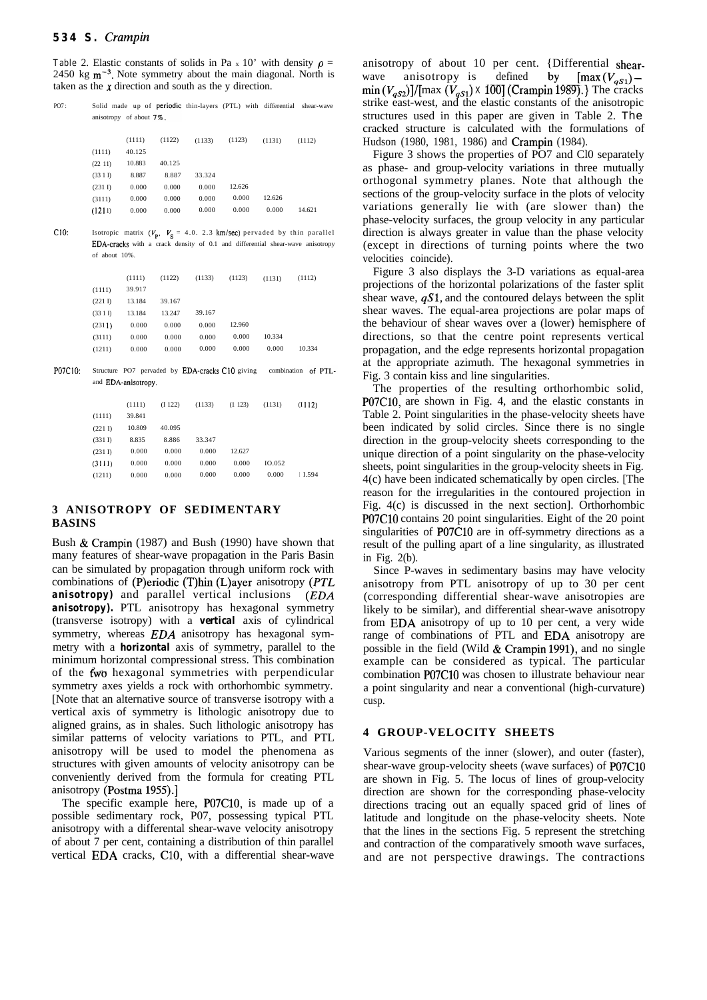#### *534 S. Crampin*

**Table** 2. Elastic constants of solids in Pa x 10' with density  $\rho =$ 2450 kg  $m^{-3}$ . Note symmetry about the main diagonal. North is taken as the  $x$  direction and south as the  $y$  direction.

| PO7: |         |                             |        |        |        |        | Solid made up of <b>periodic</b> thin-layers (PTL) with differential shear-wave |
|------|---------|-----------------------------|--------|--------|--------|--------|---------------------------------------------------------------------------------|
|      |         | anisotropy of about $7\%$ . |        |        |        |        |                                                                                 |
|      |         | (1111)                      | (1122) | (1133) | (1123) | (1131) | (1112)                                                                          |
|      | (1111)  | 40.125                      |        |        |        |        |                                                                                 |
|      | (22 11) | 10.883                      | 40.125 |        |        |        |                                                                                 |
|      | (3311)  | 8.887                       | 8.887  | 33.324 |        |        |                                                                                 |
|      | (231 I) | 0.000                       | 0.000  | 0.000  | 12.626 |        |                                                                                 |
|      | (3111)  | 0.000                       | 0.000  | 0.000  | 0.000  | 12.626 |                                                                                 |
|      | (1211)  | 0.000                       | 0.000  | 0.000  | 0.000  | 0.000  | 14.621                                                                          |
|      |         |                             |        |        |        |        |                                                                                 |

C10: Isotropic matrix  $(V_p, V_s = 4.0. 2.3$  km/sec) pervaded by thin parallel EDA-cracks with a crack density of 0.1 and differential shear-wave anisotropy of about 10%.

|         | (1111) | (1122) | (1133) | (1123) | (1131) | (1112) |
|---------|--------|--------|--------|--------|--------|--------|
| (1111)  | 39.917 |        |        |        |        |        |
| (221 I) | 13.184 | 39.167 |        |        |        |        |
| (331)   | 13.184 | 13.247 | 39.167 |        |        |        |
| (2311)  | 0.000  | 0.000  | 0.000  | 12.960 |        |        |
| (3111)  | 0.000  | 0.000  | 0.000  | 0.000  | 10.334 |        |
| (1211)  | 0.000  | 0.000  | 0.000  | 0.000  | 0.000  | 10.334 |

PO7C10: Structure PO7 pervaded by EDA-cracks C10 giving combination and EDA-anisotropy.

|         | (1111) | (1122) | (1133) | $(1\ 123)$ | (1131) | (1112)  |
|---------|--------|--------|--------|------------|--------|---------|
| (1111)  | 39.841 |        |        |            |        |         |
| (221 I) | 10.809 | 40.095 |        |            |        |         |
| (331 I) | 8.835  | 8.886  | 33.347 |            |        |         |
| (231 I) | 0.000  | 0.000  | 0.000  | 12.627     |        |         |
| (3111)  | 0.000  | 0.000  | 0.000  | 0.000      | 10.052 |         |
| (1211)  | 0.000  | 0.000  | 0.000  | 0.000      | 0.000  | I I.594 |

# **3 ANISOTROPY OF SEDIMENTARY BASINS**

Bush & Crampin (1987) and Bush (1990) have shown that many features of shear-wave propagation in the Paris Basin can be simulated by propagation through uniform rock with combinations of (P)eriodic (T)hin (L)ayer anisotropy ( $PTL$ *anisotropy)* and parallel vertical inclusions *(EDA* anisotropy). PTL anisotropy has hexagonal symmetry (transverse isotropy) with a *vertical* axis of cylindrical symmetry, whereas *EDA* anisotropy has hexagonal symmetry with a *horizontal* axis of symmetry, parallel to the minimum horizontal compressional stress. This combination of the fwo hexagonal symmetries with perpendicular symmetry axes yields a rock with orthorhombic symmetry. [Note that an alternative source of transverse isotropy with a vertical axis of symmetry is lithologic anisotropy due to aligned grains, as in shales. Such lithologic anisotropy has similar patterns of velocity variations to PTL, and PTL anisotropy will be used to model the phenomena as structures with given amounts of velocity anisotropy can be conveniently derived from the formula for creating PTL anisotropy (Postma 1955).]

The specific example here, PO7C10, is made up of a possible sedimentary rock, P07, possessing typical PTL anisotropy with a differental shear-wave velocity anisotropy of about 7 per cent, containing a distribution of thin parallel vertical EDA cracks, ClO, with a differential shear-wave anisotropy of about 10 per cent. {Differential shearwave anisotropy is defined by  $\left[\max_{q_{s}}(V_{q_{s}})\right]$  $\min (V_{qS2})$ ]/[max  $(V_{qS1})$  **X** 100] (Crampin 1989).} The cracks strike east-west, and the elastic constants of the anisotropic structures used in this paper are given in Table 2. The cracked structure is calculated with the formulations of Hudson (1980, 1981, 1986) and Crampin (1984).

Figure 3 shows the properties of PO7 and Cl0 separately as phase- and group-velocity variations in three mutually orthogonal symmetry planes. Note that although the sections of the group-velocity surface in the plots of velocity variations generally lie with (are slower than) the phase-velocity surfaces, the group velocity in any particular direction is always greater in value than the phase velocity (except in directions of turning points where the two velocities coincide).

Figure 3 also displays the 3-D variations as equal-area projections of the horizontal polarizations of the faster split shear wave,  $qS1$ , and the contoured delays between the split shear waves. The equal-area projections are polar maps of the behaviour of shear waves over a (lower) hemisphere of directions, so that the centre point represents vertical propagation, and the edge represents horizontal propagation at the appropriate azimuth. The hexagonal symmetries in Fig. 3 contain kiss and line singularities.

The properties of the resulting orthorhombic solid, PO7C10, are shown in Fig. 4, and the elastic constants in Table 2. Point singularities in the phase-velocity sheets have been indicated by solid circles. Since there is no single direction in the group-velocity sheets corresponding to the unique direction of a point singularity on the phase-velocity sheets, point singularities in the group-velocity sheets in Fig. 4(c) have been indicated schematically by open circles. [The reason for the irregularities in the contoured projection in Fig. 4(c) is discussed in the next section]. Orthorhombic PO7ClO contains 20 point singularities. Eight of the 20 point singularities of PO7ClO are in off-symmetry directions as a result of the pulling apart of a line singularity, as illustrated in Fig. 2(b).

Since P-waves in sedimentary basins may have velocity anisotropy from PTL anisotropy of up to 30 per cent (corresponding differential shear-wave anisotropies are likely to be similar), and differential shear-wave anisotropy from EDA anisotropy of up to 10 per cent, a very wide range of combinations of PTL and EDA anisotropy are possible in the field (Wild & Crampin 1991), and no single example can be considered as typical. The particular combination PO7ClO was chosen to illustrate behaviour near a point singularity and near a conventional (high-curvature) cusp.

#### **4 GROUP-VELOCITY SHEETS**

Various segments of the inner (slower), and outer (faster), shear-wave group-velocity sheets (wave surfaces) of PO7ClO are shown in Fig. 5. The locus of lines of group-velocity direction are shown for the corresponding phase-velocity directions tracing out an equally spaced grid of lines of latitude and longitude on the phase-velocity sheets. Note that the lines in the sections Fig. 5 represent the stretching and contraction of the comparatively smooth wave surfaces, and are not perspective drawings. The contractions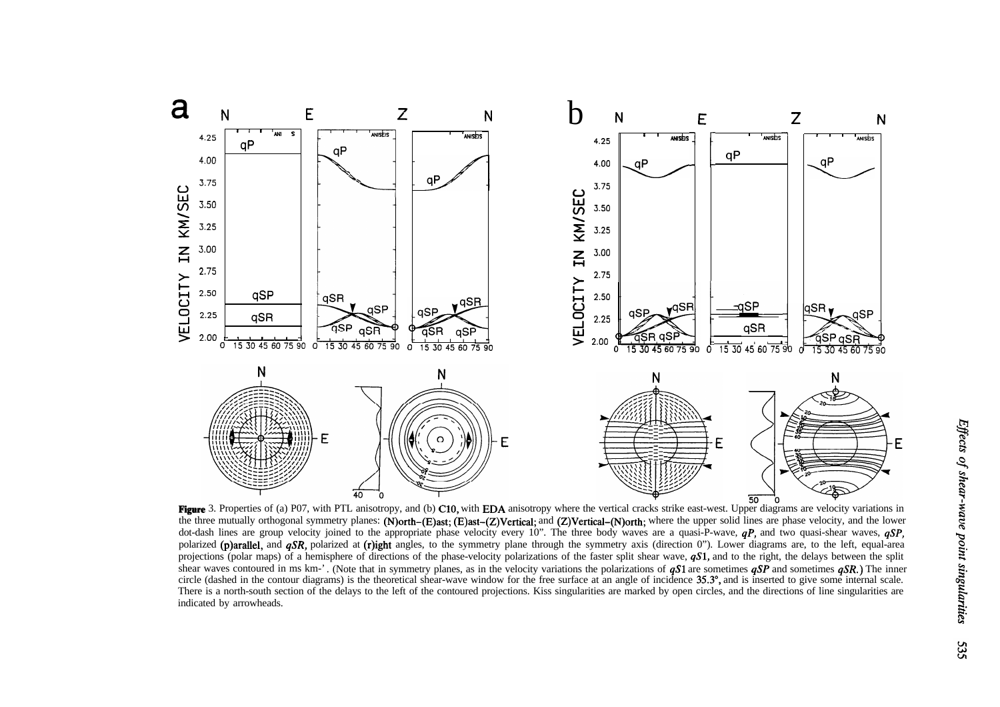

Figure 3. Properties of (a) P07, with PTL anisotropy, and (b) C10, with EDA anisotropy where the vertical cracks strike east-west. Upper diagrams are velocity variations in the three methods of (a) P07, with PTL anisotrop the three mutually orthogonal symmetry planes: (N)orth-(E)ast; (E)ast-(Z)Vertical; and (Z)Vertical-(N)orth; where the upper solid lines are phase velocity, and the lower dot-dash lines are group velocity joined to the appropriate phase velocity every 10". The three body waves are a quasi-P-wave, *qP,* and two quasi-shear waves, *qSP,* polarized (p)arallel, and *qSR*, polarized at (r)ight angles, to the symmetry plane through the symmetry axis (direction 0"). Lower diagrams are, to the left, equal-area projections (polar maps) of a hemisphere of directions of the phase-velocity polarizations of the faster split shear wave,  $qS1$ , and to the right, the delays between the split shear waves contoured in ms km<sup>-</sup>'. (Note that in symmetry planes, as in the velocity variations the polarizations of **qS1** are sometimes **qSP** and sometimes **qSR.**) The inner circle (dashed in the contour diagrams) is the theoretical shear-wave window for the free surface at an angle of incidence 35.3", and is inserted to give some internal scale. There is a north-south section of the delays to the left of the contoured projections. Kiss singularities are marked by open circles, and the directions of line singularities are indicated by arrowheads.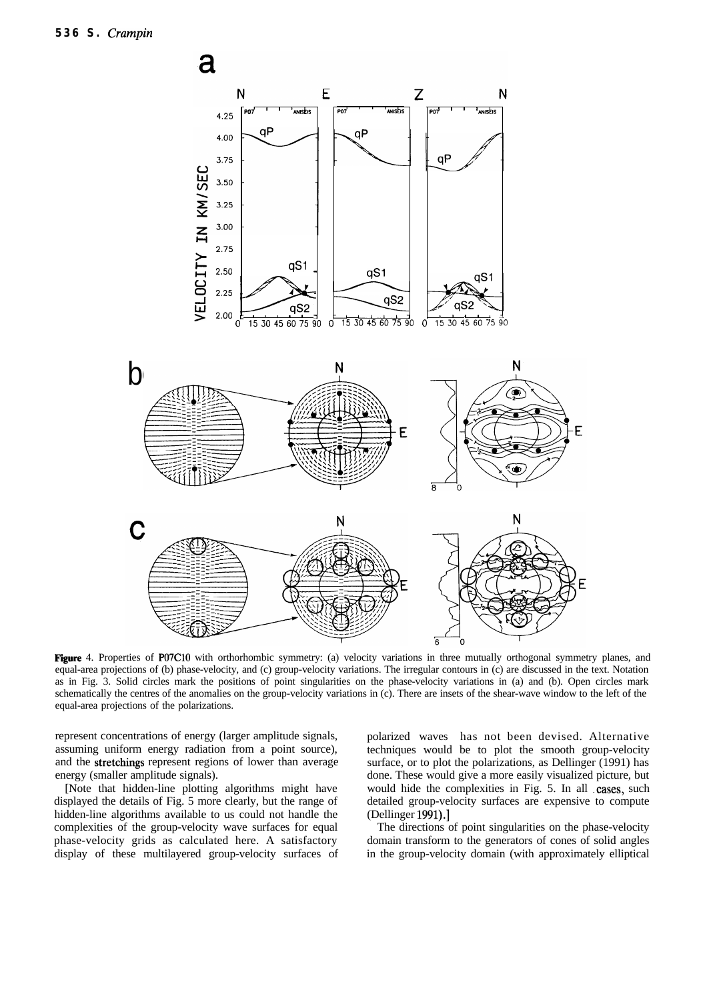

Figure 4. Properties of P07C10 with orthorhombic symmetry: (a) velocity variations in three mutually orthogonal symmetry planes, and equal-area projections of (b) phase-velocity, and (c) group-velocity variations. The irregular contours in (c) are discussed in the text. Notation as in Fig. 3. Solid circles mark the positions of point singularities on the phase-velocity variations in (a) and (b). Open circles mark schematically the centres of the anomalies on the group-velocity variations in (c). There are insets of the shear-wave window to the left of the equal-area projections of the polarizations.

represent concentrations of energy (larger amplitude signals, assuming uniform energy radiation from a point source), and the stretchings represent regions of lower than average energy (smaller amplitude signals).

[Note that hidden-line plotting algorithms might have displayed the details of Fig. 5 more clearly, but the range of hidden-line algorithms available to us could not handle the complexities of the group-velocity wave surfaces for equal phase-velocity grids as calculated here. A satisfactory display of these multilayered group-velocity surfaces of polarized waves has not been devised. Alternative techniques would be to plot the smooth group-velocity surface, or to plot the polarizations, as Dellinger (1991) has done. These would give a more easily visualized picture, but would hide the complexities in Fig. 5. In all cases, such detailed group-velocity surfaces are expensive to compute (Dellinger 1991).]

The directions of point singularities on the phase-velocity domain transform to the generators of cones of solid angles in the group-velocity domain (with approximately elliptical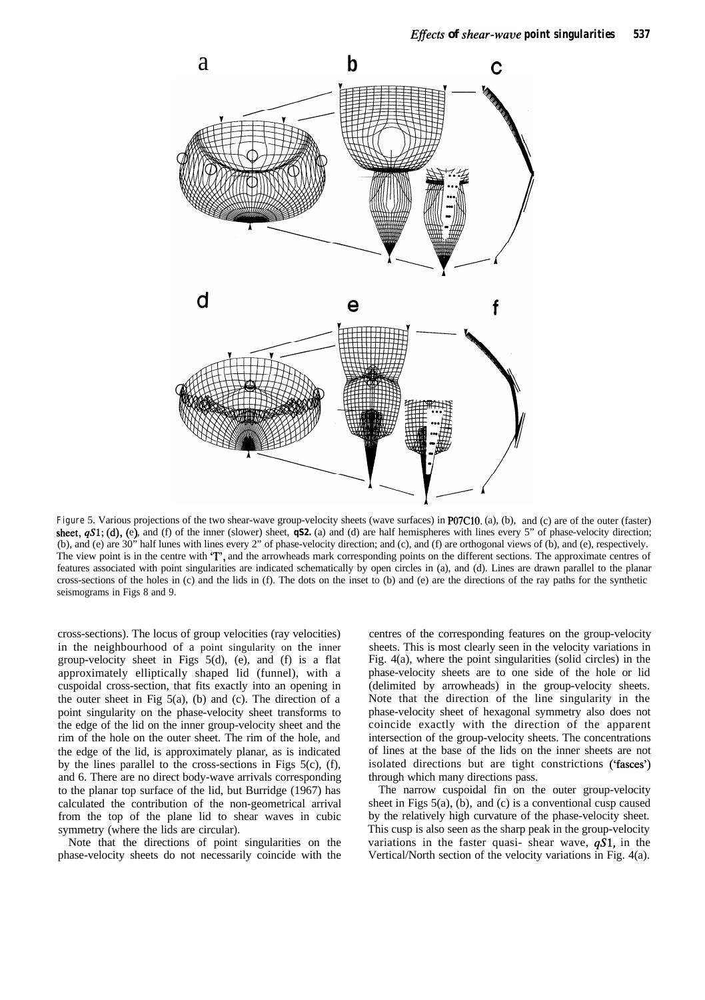

**Figure** 5. Various projections of the two shear-wave group-velocity sheets (wave surfaces) in P07C10. (a), (b), and (c) are of the outer (faster) sheet,  $qS1$ ; (d), (e), and (f) of the inner (slower) sheet,  $qS2$ . (a) and (d) are half hemispheres with lines every 5" of phase-velocity direction; (b), and (e) are 30" half lunes with lines every 2" of phase-velocity direction; and (c), and (f) are orthogonal views of (b), and (e), respectively. The view point is in the centre with 'T', and the arrowheads mark corresponding points on the different sections. The approximate centres of features associated with point singularities are indicated schematically by open circles in (a), and (d). Lines are drawn parallel to the planar cross-sections of the holes in (c) and the lids in (f). The dots on the inset to (b) and (e) are the directions of the ray paths for the synthetic seismograms in Figs 8 and 9.

cross-sections). The locus of group velocities (ray velocities) in the neighbourhood of a point singularity on the inner group-velocity sheet in Figs 5(d), (e), and (f) is a flat approximately elliptically shaped lid (funnel), with a cuspoidal cross-section, that fits exactly into an opening in the outer sheet in Fig  $5(a)$ , (b) and (c). The direction of a point singularity on the phase-velocity sheet transforms to the edge of the lid on the inner group-velocity sheet and the rim of the hole on the outer sheet. The rim of the hole, and the edge of the lid, is approximately planar, as is indicated by the lines parallel to the cross-sections in Figs 5(c), (f), and 6. There are no direct body-wave arrivals corresponding to the planar top surface of the lid, but Burridge (1967) has calculated the contribution of the non-geometrical arrival from the top of the plane lid to shear waves in cubic symmetry (where the lids are circular).

Note that the directions of point singularities on the phase-velocity sheets do not necessarily coincide with the

centres of the corresponding features on the group-velocity sheets. This is most clearly seen in the velocity variations in Fig. 4(a), where the point singularities (solid circles) in the phase-velocity sheets are to one side of the hole or lid (delimited by arrowheads) in the group-velocity sheets. Note that the direction of the line singularity in the phase-velocity sheet of hexagonal symmetry also does not coincide exactly with the direction of the apparent intersection of the group-velocity sheets. The concentrations of lines at the base of the lids on the inner sheets are not isolated directions but are tight constrictions ('fasces') through which many directions pass.

The narrow cuspoidal fin on the outer group-velocity sheet in Figs  $5(a)$ , (b), and (c) is a conventional cusp caused by the relatively high curvature of the phase-velocity sheet. This cusp is also seen as the sharp peak in the group-velocity variations in the faster quasi- shear wave,  $qS1$ , in the Vertical/North section of the velocity variations in Fig. 4(a).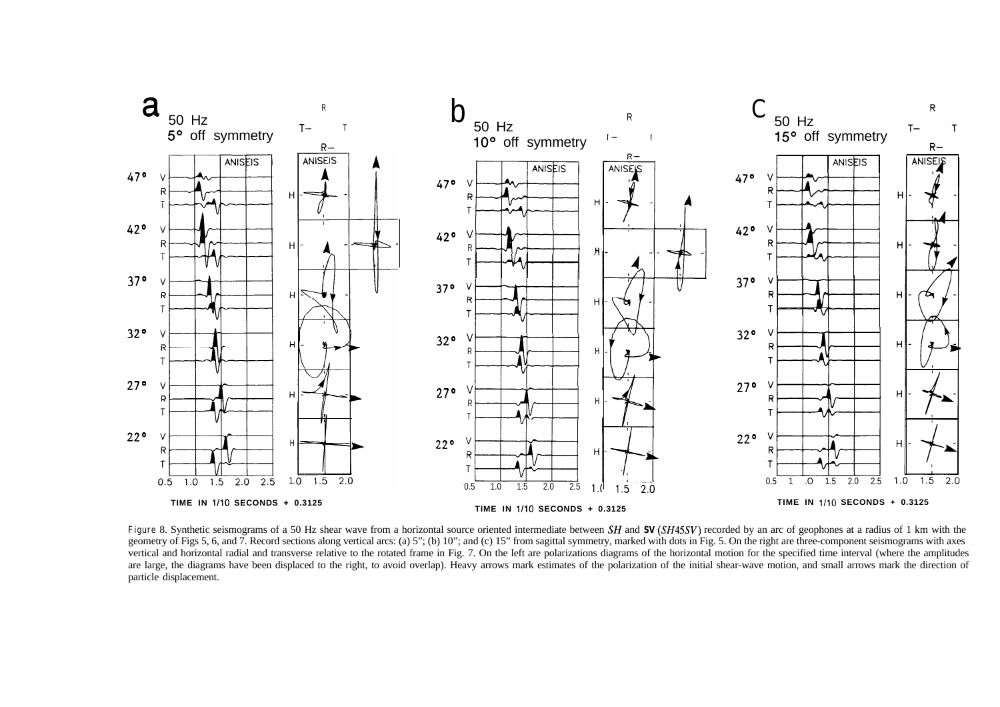

**Figure** 8. Synthetic seismograms of a 50 Hz shear wave from a horizontal source oriented intermediate between *SH* and *SV* (*SH45SV*) recorded by an arc of geophones at a radius of 1 km with the geometry of Figs 5, 6, and 7. Record sections along vertical arcs: (a) 5"; (b) 10"; and (c) 15" from sagittal symmetry, marked with dots in Fig. 5. On the right are three-component seismograms with axes vertical and horizontal radial and transverse relative to the rotated frame in Fig. 7. On the left are polarizations diagrams of the horizontal motion for the specified time interval (where the amplitudes are large, the diagrams have been displaced to the right, to avoid overlap). Heavy arrows mark estimates of the polarization of the initial shear-wave motion, and small arrows mark the direction of particle displacement.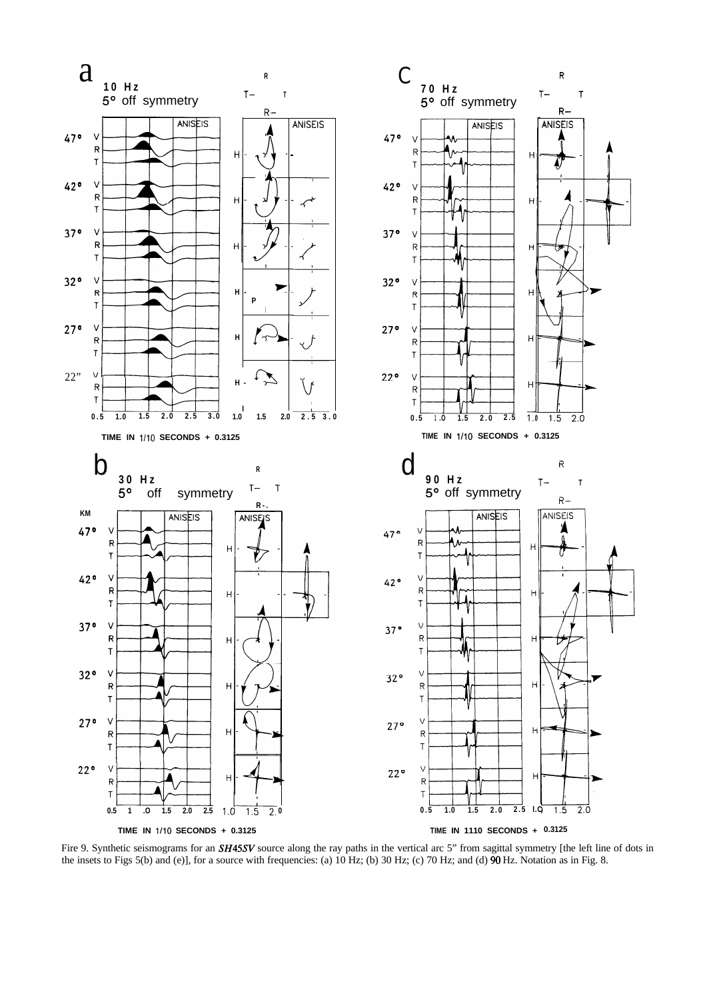

Fire 9. Synthetic seismograms for an **SH45SV** source along the ray paths in the vertical arc 5" from sagittal symmetry [the left line of dots in the insets to Figs 5(b) and (e)], for a source with frequencies: (a) 10 Hz; (b) 30 Hz; (c) 70 Hz; and (d) 90 Hz. Notation as in Fig. 8.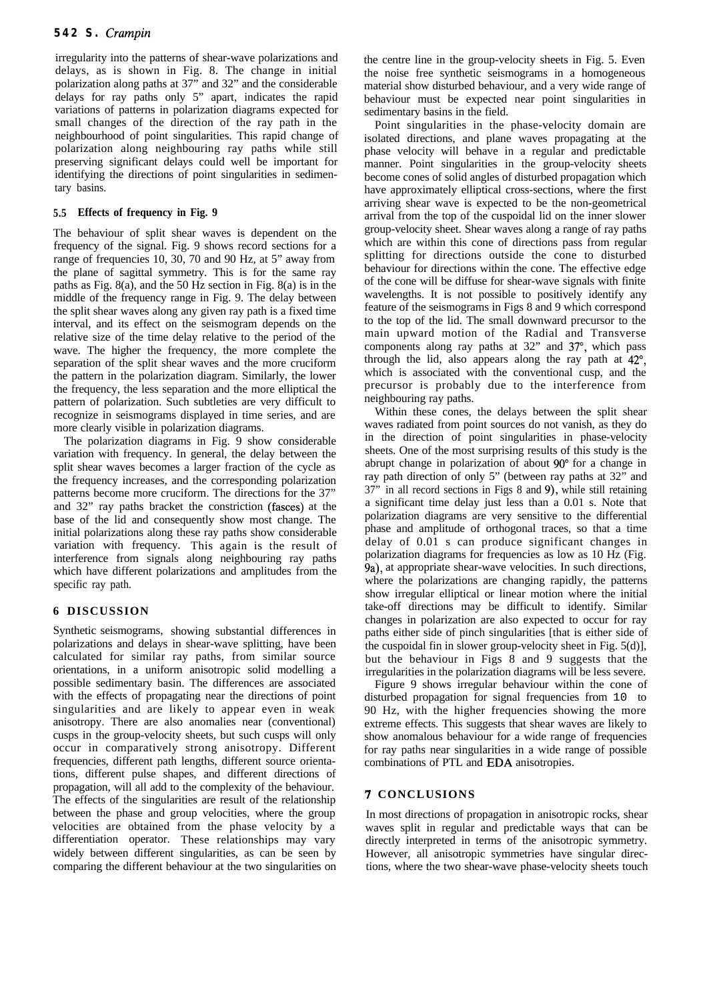irregularity into the patterns of shear-wave polarizations and delays, as is shown in Fig. 8. The change in initial polarization along paths at 37" and 32" and the considerable delays for ray paths only 5" apart, indicates the rapid variations of patterns in polarization diagrams expected for small changes of the direction of the ray path in the neighbourhood of point singularities. This rapid change of polarization along neighbouring ray paths while still preserving significant delays could well be important for identifying the directions of point singularities in sedimentary basins.

### **5.5 Effects of frequency in Fig. 9**

The behaviour of split shear waves is dependent on the frequency of the signal. Fig. 9 shows record sections for a range of frequencies 10, 30, 70 and 90 Hz, at 5" away from the plane of sagittal symmetry. This is for the same ray paths as Fig. 8(a), and the 50 Hz section in Fig. 8(a) is in the middle of the frequency range in Fig. 9. The delay between the split shear waves along any given ray path is a fixed time interval, and its effect on the seismogram depends on the relative size of the time delay relative to the period of the wave. The higher the frequency, the more complete the separation of the split shear waves and the more cruciform the pattern in the polarization diagram. Similarly, the lower the frequency, the less separation and the more elliptical the pattern of polarization. Such subtleties are very difficult to recognize in seismograms displayed in time series, and are more clearly visible in polarization diagrams.

The polarization diagrams in Fig. 9 show considerable variation with frequency. In general, the delay between the split shear waves becomes a larger fraction of the cycle as the frequency increases, and the corresponding polarization patterns become more cruciform. The directions for the 37" and 32" ray paths bracket the constriction (fasces) at the base of the lid and consequently show most change. The initial polarizations along these ray paths show considerable variation with frequency. This again is the result of interference from signals along neighbouring ray paths which have different polarizations and amplitudes from the specific ray path.

# **6 DISCUSSION**

Synthetic seismograms, showing substantial differences in polarizations and delays in shear-wave splitting, have been calculated for similar ray paths, from similar source orientations, in a uniform anisotropic solid modelling a possible sedimentary basin. The differences are associated with the effects of propagating near the directions of point singularities and are likely to appear even in weak anisotropy. There are also anomalies near (conventional) cusps in the group-velocity sheets, but such cusps will only occur in comparatively strong anisotropy. Different frequencies, different path lengths, different source orientations, different pulse shapes, and different directions of propagation, will all add to the complexity of the behaviour. The effects of the singularities are result of the relationship between the phase and group velocities, where the group velocities are obtained from the phase velocity by a differentiation operator. These relationships may vary widely between different singularities, as can be seen by comparing the different behaviour at the two singularities on the centre line in the group-velocity sheets in Fig. 5. Even the noise free synthetic seismograms in a homogeneous material show disturbed behaviour, and a very wide range of behaviour must be expected near point singularities in sedimentary basins in the field.

Point singularities in the phase-velocity domain are isolated directions, and plane waves propagating at the phase velocity will behave in a regular and predictable manner. Point singularities in the group-velocity sheets become cones of solid angles of disturbed propagation which have approximately elliptical cross-sections, where the first arriving shear wave is expected to be the non-geometrical arrival from the top of the cuspoidal lid on the inner slower group-velocity sheet. Shear waves along a range of ray paths which are within this cone of directions pass from regular splitting for directions outside the cone to disturbed behaviour for directions within the cone. The effective edge of the cone will be diffuse for shear-wave signals with finite wavelengths. It is not possible to positively identify any feature of the seismograms in Figs 8 and 9 which correspond to the top of the lid. The small downward precursor to the main upward motion of the Radial and Transverse components along ray paths at 32" and 37°, which pass through the lid, also appears along the ray path at 42", which is associated with the conventional cusp, and the precursor is probably due to the interference from neighbouring ray paths.

Within these cones, the delays between the split shear waves radiated from point sources do not vanish, as they do in the direction of point singularities in phase-velocity sheets. One of the most surprising results of this study is the abrupt change in polarization of about 90" for a change in ray path direction of only 5" (between ray paths at 32" and 37" in all record sections in Figs 8 and 9), while still retaining a significant time delay just less than a 0.01 s. Note that polarization diagrams are very sensitive to the differential phase and amplitude of orthogonal traces, so that a time delay of 0.01 s can produce significant changes in polarization diagrams for frequencies as low as 10 Hz (Fig. 9a), at appropriate shear-wave velocities. In such directions, where the polarizations are changing rapidly, the patterns show irregular elliptical or linear motion where the initial take-off directions may be difficult to identify. Similar changes in polarization are also expected to occur for ray paths either side of pinch singularities [that is either side of the cuspoidal fin in slower group-velocity sheet in Fig.  $5(d)$ ], but the behaviour in Figs 8 and 9 suggests that the irregularities in the polarization diagrams will be less severe.

Figure 9 shows irregular behaviour within the cone of disturbed propagation for signal frequencies from 10 to 90 Hz, with the higher frequencies showing the more extreme effects. This suggests that shear waves are likely to show anomalous behaviour for a wide range of frequencies for ray paths near singularities in a wide range of possible combinations of PTL and EDA anisotropies.

# **7 CONCLUSIONS**

In most directions of propagation in anisotropic rocks, shear waves split in regular and predictable ways that can be directly interpreted in terms of the anisotropic symmetry. However, all anisotropic symmetries have singular directions, where the two shear-wave phase-velocity sheets touch